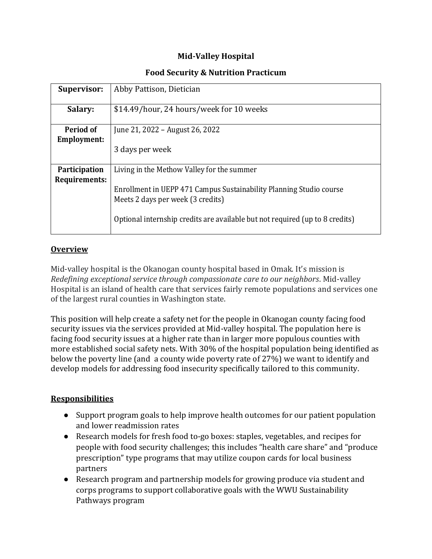# **Mid-Valley Hospital**

### **Food Security & Nutrition Practicum**

| <b>Supervisor:</b>                    | Abby Pattison, Dietician                                                                                 |
|---------------------------------------|----------------------------------------------------------------------------------------------------------|
| Salary:                               | \$14.49/hour, 24 hours/week for 10 weeks                                                                 |
| Period of<br><b>Employment:</b>       | June 21, 2022 – August 26, 2022                                                                          |
|                                       | 3 days per week                                                                                          |
| <b>Participation</b><br>Requirements: | Living in the Methow Valley for the summer                                                               |
|                                       | Enrollment in UEPP 471 Campus Sustainability Planning Studio course<br>Meets 2 days per week (3 credits) |
|                                       | Optional internship credits are available but not required (up to 8 credits)                             |

### **Overview**

Mid-valley hospital is the Okanogan county hospital based in Omak. It's mission is *Redefining exceptional service through compassionate care to our neighbors*. Mid-valley Hospital is an island of health care that services fairly remote populations and services one of the largest rural counties in Washington state.

This position will help create a safety net for the people in Okanogan county facing food security issues via the services provided at Mid-valley hospital. The population here is facing food security issues at a higher rate than in larger more populous counties with more established social safety nets. With 30% of the hospital population being identified as below the poverty line (and a county wide poverty rate of 27%) we want to identify and develop models for addressing food insecurity specifically tailored to this community.

# **Responsibilities**

- Support program goals to help improve health outcomes for our patient population and lower readmission rates
- Research models for fresh food to-go boxes: staples, vegetables, and recipes for people with food security challenges; this includes "health care share" and "produce prescription" type programs that may utilize coupon cards for local business partners
- Research program and partnership models for growing produce via student and corps programs to support collaborative goals with the WWU Sustainability Pathways program